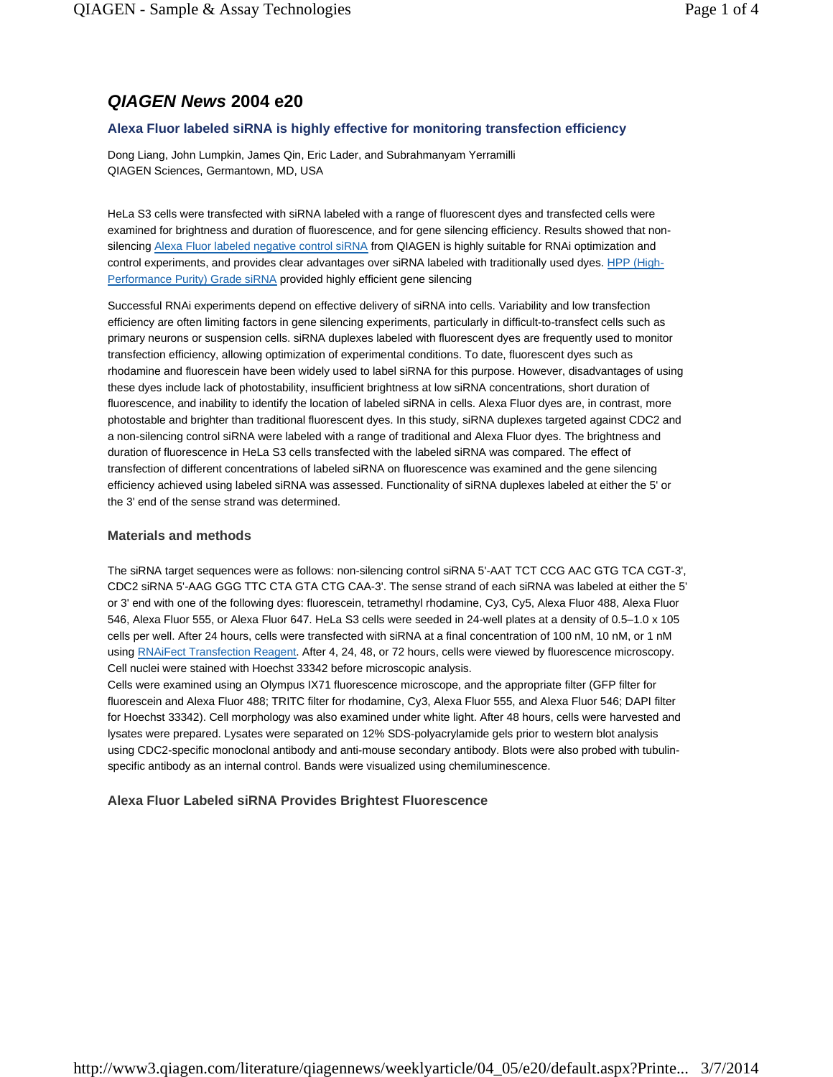# **QIAGEN News 2004 e20**

# **Alexa Fluor labeled siRNA is highly effective for monitoring transfection efficiency**

Dong Liang, John Lumpkin, James Qin, Eric Lader, and Subrahmanyam Yerramilli QIAGEN Sciences, Germantown, MD, USA

HeLa S3 cells were transfected with siRNA labeled with a range of fluorescent dyes and transfected cells were examined for brightness and duration of fluorescence, and for gene silencing efficiency. Results showed that nonsilencing Alexa Fluor labeled negative control siRNA from QIAGEN is highly suitable for RNAi optimization and control experiments, and provides clear advantages over siRNA labeled with traditionally used dyes. HPP (High-Performance Purity) Grade siRNA provided highly efficient gene silencing

Successful RNAi experiments depend on effective delivery of siRNA into cells. Variability and low transfection efficiency are often limiting factors in gene silencing experiments, particularly in difficult-to-transfect cells such as primary neurons or suspension cells. siRNA duplexes labeled with fluorescent dyes are frequently used to monitor transfection efficiency, allowing optimization of experimental conditions. To date, fluorescent dyes such as rhodamine and fluorescein have been widely used to label siRNA for this purpose. However, disadvantages of using these dyes include lack of photostability, insufficient brightness at low siRNA concentrations, short duration of fluorescence, and inability to identify the location of labeled siRNA in cells. Alexa Fluor dyes are, in contrast, more photostable and brighter than traditional fluorescent dyes. In this study, siRNA duplexes targeted against CDC2 and a non-silencing control siRNA were labeled with a range of traditional and Alexa Fluor dyes. The brightness and duration of fluorescence in HeLa S3 cells transfected with the labeled siRNA was compared. The effect of transfection of different concentrations of labeled siRNA on fluorescence was examined and the gene silencing efficiency achieved using labeled siRNA was assessed. Functionality of siRNA duplexes labeled at either the 5' or the 3' end of the sense strand was determined.

### **Materials and methods**

The siRNA target sequences were as follows: non-silencing control siRNA 5'-AAT TCT CCG AAC GTG TCA CGT-3', CDC2 siRNA 5'-AAG GGG TTC CTA GTA CTG CAA-3'. The sense strand of each siRNA was labeled at either the 5' or 3' end with one of the following dyes: fluorescein, tetramethyl rhodamine, Cy3, Cy5, Alexa Fluor 488, Alexa Fluor 546, Alexa Fluor 555, or Alexa Fluor 647. HeLa S3 cells were seeded in 24-well plates at a density of 0.5–1.0 x 105 cells per well. After 24 hours, cells were transfected with siRNA at a final concentration of 100 nM, 10 nM, or 1 nM using RNAiFect Transfection Reagent. After 4, 24, 48, or 72 hours, cells were viewed by fluorescence microscopy. Cell nuclei were stained with Hoechst 33342 before microscopic analysis.

Cells were examined using an Olympus IX71 fluorescence microscope, and the appropriate filter (GFP filter for fluorescein and Alexa Fluor 488; TRITC filter for rhodamine, Cy3, Alexa Fluor 555, and Alexa Fluor 546; DAPI filter for Hoechst 33342). Cell morphology was also examined under white light. After 48 hours, cells were harvested and lysates were prepared. Lysates were separated on 12% SDS-polyacrylamide gels prior to western blot analysis using CDC2-specific monoclonal antibody and anti-mouse secondary antibody. Blots were also probed with tubulinspecific antibody as an internal control. Bands were visualized using chemiluminescence.

### **Alexa Fluor Labeled siRNA Provides Brightest Fluorescence**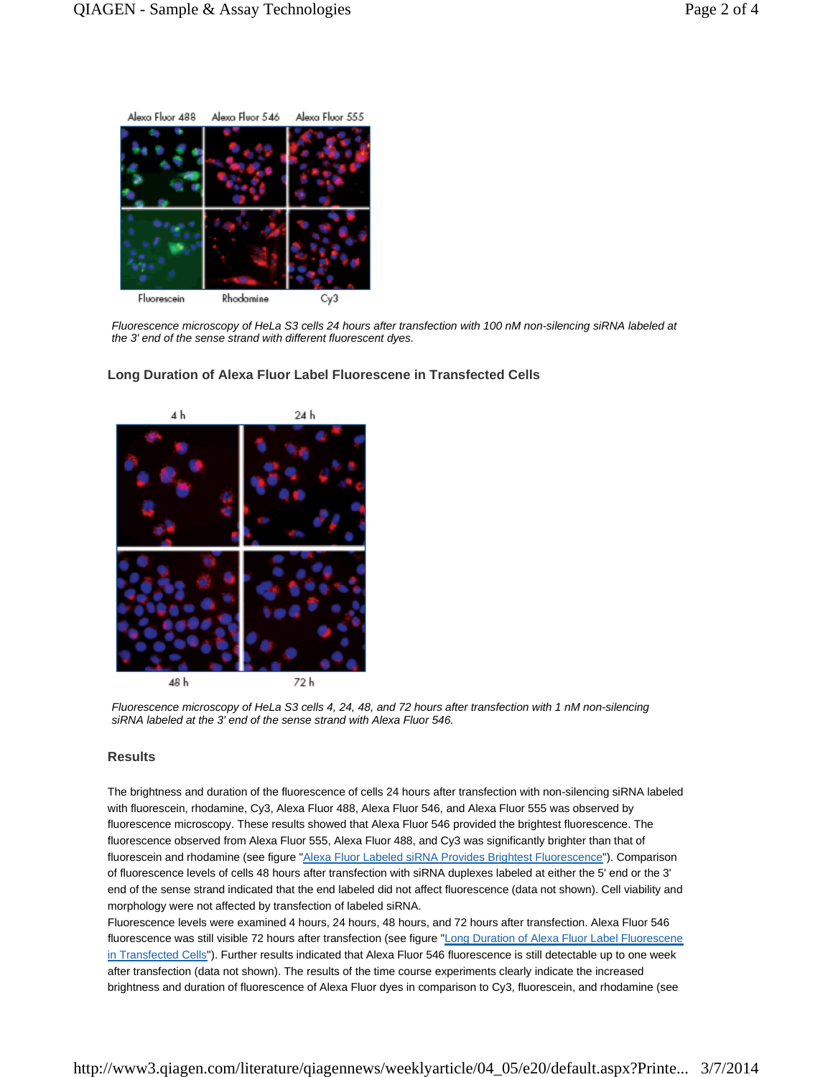

Fluorescence microscopy of HeLa S3 cells 24 hours after transfection with 100 nM non-silencing siRNA labeled at the 3' end of the sense strand with different fluorescent dyes.



**Long Duration of Alexa Fluor Label Fluorescene in Transfected Cells** 

Fluorescence microscopy of HeLa S3 cells 4, 24, 48, and 72 hours after transfection with 1 nM non-silencing siRNA labeled at the 3' end of the sense strand with Alexa Fluor 546.

#### **Results**

The brightness and duration of the fluorescence of cells 24 hours after transfection with non-silencing siRNA labeled with fluorescein, rhodamine, Cy3, Alexa Fluor 488, Alexa Fluor 546, and Alexa Fluor 555 was observed by fluorescence microscopy. These results showed that Alexa Fluor 546 provided the brightest fluorescence. The fluorescence observed from Alexa Fluor 555, Alexa Fluor 488, and Cy3 was significantly brighter than that of fluorescein and rhodamine (see figure "Alexa Fluor Labeled siRNA Provides Brightest Fluorescence"). Comparison of fluorescence levels of cells 48 hours after transfection with siRNA duplexes labeled at either the 5' end or the 3' end of the sense strand indicated that the end labeled did not affect fluorescence (data not shown). Cell viability and morphology were not affected by transfection of labeled siRNA.

Fluorescence levels were examined 4 hours, 24 hours, 48 hours, and 72 hours after transfection. Alexa Fluor 546 fluorescence was still visible 72 hours after transfection (see figure "Long Duration of Alexa Fluor Label Fluorescene in Transfected Cells"). Further results indicated that Alexa Fluor 546 fluorescence is still detectable up to one week after transfection (data not shown). The results of the time course experiments clearly indicate the increased brightness and duration of fluorescence of Alexa Fluor dyes in comparison to Cy3, fluorescein, and rhodamine (see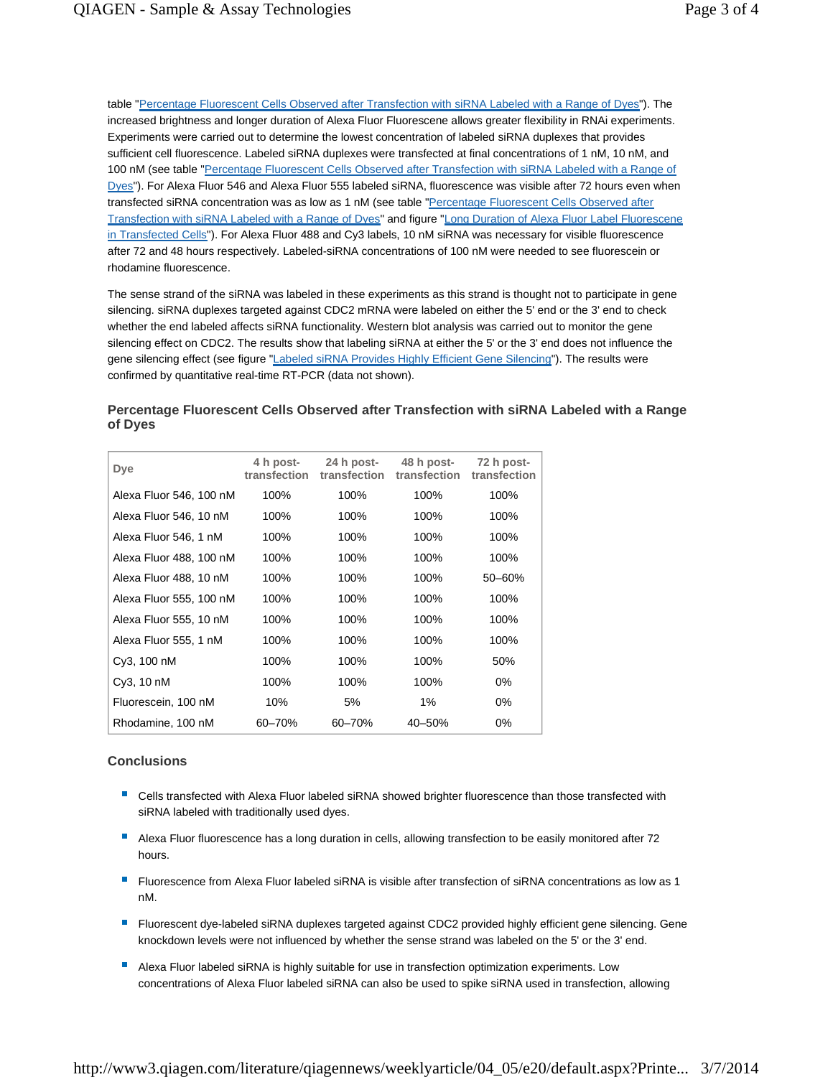table "Percentage Fluorescent Cells Observed after Transfection with siRNA Labeled with a Range of Dyes"). The increased brightness and longer duration of Alexa Fluor Fluorescene allows greater flexibility in RNAi experiments. Experiments were carried out to determine the lowest concentration of labeled siRNA duplexes that provides sufficient cell fluorescence. Labeled siRNA duplexes were transfected at final concentrations of 1 nM, 10 nM, and 100 nM (see table "Percentage Fluorescent Cells Observed after Transfection with siRNA Labeled with a Range of Dyes"). For Alexa Fluor 546 and Alexa Fluor 555 labeled siRNA, fluorescence was visible after 72 hours even when transfected siRNA concentration was as low as 1 nM (see table "Percentage Fluorescent Cells Observed after Transfection with siRNA Labeled with a Range of Dyes" and figure "Long Duration of Alexa Fluor Label Fluorescene in Transfected Cells"). For Alexa Fluor 488 and Cy3 labels, 10 nM siRNA was necessary for visible fluorescence after 72 and 48 hours respectively. Labeled-siRNA concentrations of 100 nM were needed to see fluorescein or rhodamine fluorescence.

The sense strand of the siRNA was labeled in these experiments as this strand is thought not to participate in gene silencing. siRNA duplexes targeted against CDC2 mRNA were labeled on either the 5' end or the 3' end to check whether the end labeled affects siRNA functionality. Western blot analysis was carried out to monitor the gene silencing effect on CDC2. The results show that labeling siRNA at either the 5' or the 3' end does not influence the gene silencing effect (see figure "Labeled siRNA Provides Highly Efficient Gene Silencing"). The results were confirmed by quantitative real-time RT-PCR (data not shown).

## **Percentage Fluorescent Cells Observed after Transfection with siRNA Labeled with a Range of Dyes**

| Dye                     | 4 h post-<br>transfection | 24 h post-<br>transfection | 48 h post-<br>transfection | 72 h post-<br>transfection |
|-------------------------|---------------------------|----------------------------|----------------------------|----------------------------|
| Alexa Fluor 546, 100 nM | 100%                      | 100%                       | 100%                       | 100%                       |
| Alexa Fluor 546, 10 nM  | 100%                      | 100%                       | 100%                       | 100%                       |
| Alexa Fluor 546, 1 nM   | 100%                      | 100%                       | 100%                       | 100%                       |
| Alexa Fluor 488, 100 nM | 100%                      | 100%                       | 100%                       | 100%                       |
| Alexa Fluor 488, 10 nM  | 100%                      | 100%                       | 100%                       | $50 - 60%$                 |
| Alexa Fluor 555, 100 nM | 100%                      | 100%                       | 100%                       | 100%                       |
| Alexa Fluor 555, 10 nM  | 100%                      | 100%                       | 100%                       | 100%                       |
| Alexa Fluor 555, 1 nM   | 100%                      | 100%                       | 100%                       | 100%                       |
| Cy3, 100 nM             | 100%                      | 100%                       | 100%                       | 50%                        |
| Cy3, 10 nM              | 100%                      | 100%                       | 100%                       | $0\%$                      |
| Fluorescein, 100 nM     | 10%                       | 5%                         | 1%                         | $0\%$                      |
| Rhodamine, 100 nM       | 60-70%                    | 60-70%                     | $40 - 50%$                 | 0%                         |

### **Conclusions**

- Cells transfected with Alexa Fluor labeled siRNA showed brighter fluorescence than those transfected with siRNA labeled with traditionally used dyes.
- Alexa Fluor fluorescence has a long duration in cells, allowing transfection to be easily monitored after 72 hours.
- Fluorescence from Alexa Fluor labeled siRNA is visible after transfection of siRNA concentrations as low as 1 nM.
- **F** Fluorescent dye-labeled siRNA duplexes targeted against CDC2 provided highly efficient gene silencing. Gene knockdown levels were not influenced by whether the sense strand was labeled on the 5' or the 3' end.
- Alexa Fluor labeled siRNA is highly suitable for use in transfection optimization experiments. Low concentrations of Alexa Fluor labeled siRNA can also be used to spike siRNA used in transfection, allowing